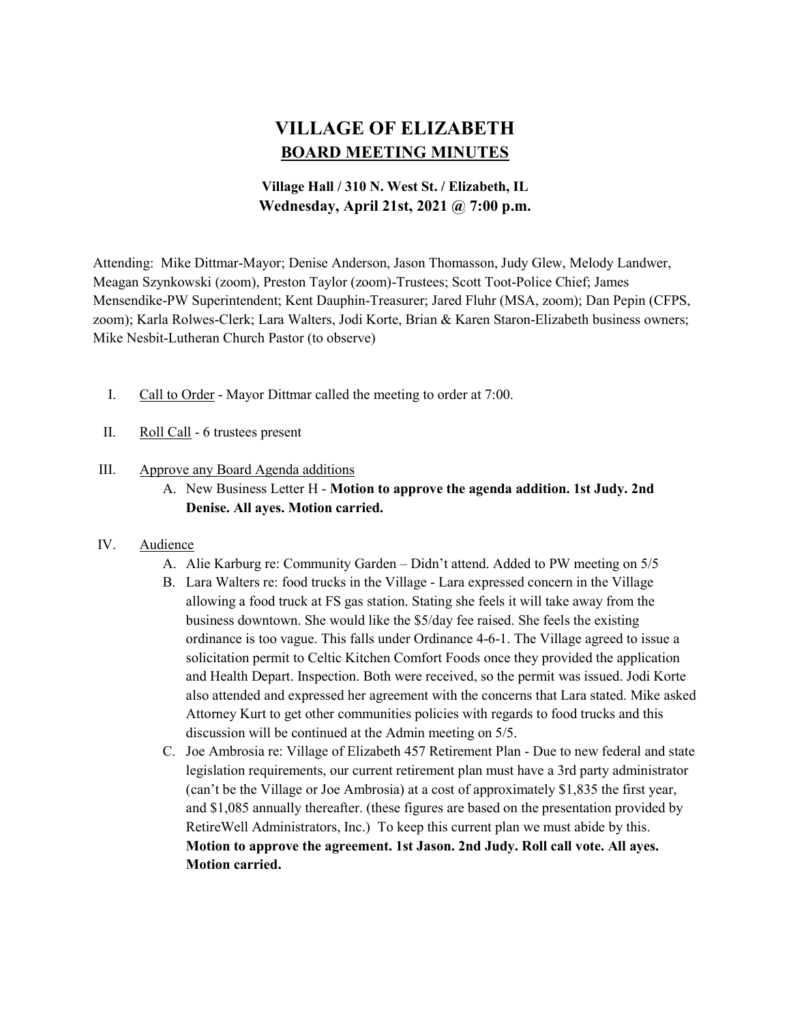# VILLAGE OF ELIZABETH BOARD MEETING MINUTES

# Village Hall / 310 N. West St. / Elizabeth, IL Wednesday, April 21st, 2021 @ 7:00 p.m.

Attending: Mike Dittmar-Mayor; Denise Anderson, Jason Thomasson, Judy Glew, Melody Landwer, Meagan Szynkowski (zoom), Preston Taylor (zoom)-Trustees; Scott Toot-Police Chief; James Mensendike-PW Superintendent; Kent Dauphin-Treasurer; Jared Fluhr (MSA, zoom); Dan Pepin (CFPS, zoom); Karla Rolwes-Clerk; Lara Walters, Jodi Korte, Brian & Karen Staron-Elizabeth business owners; Mike Nesbit-Lutheran Church Pastor (to observe)

- I. Call to Order Mayor Dittmar called the meeting to order at 7:00.
- II. Roll Call 6 trustees present

## III. Approve any Board Agenda additions

A. New Business Letter H - Motion to approve the agenda addition. 1st Judy. 2nd Denise. All ayes. Motion carried.

#### IV. Audience

- A. Alie Karburg re: Community Garden Didn't attend. Added to PW meeting on 5/5
- B. Lara Walters re: food trucks in the Village Lara expressed concern in the Village allowing a food truck at FS gas station. Stating she feels it will take away from the business downtown. She would like the \$5/day fee raised. She feels the existing ordinance is too vague. This falls under Ordinance 4-6-1. The Village agreed to issue a solicitation permit to Celtic Kitchen Comfort Foods once they provided the application and Health Depart. Inspection. Both were received, so the permit was issued. Jodi Korte also attended and expressed her agreement with the concerns that Lara stated. Mike asked Attorney Kurt to get other communities policies with regards to food trucks and this discussion will be continued at the Admin meeting on 5/5.
- C. Joe Ambrosia re: Village of Elizabeth 457 Retirement Plan Due to new federal and state legislation requirements, our current retirement plan must have a 3rd party administrator (can't be the Village or Joe Ambrosia) at a cost of approximately \$1,835 the first year, and \$1,085 annually thereafter. (these figures are based on the presentation provided by RetireWell Administrators, Inc.) To keep this current plan we must abide by this. Motion to approve the agreement. 1st Jason. 2nd Judy. Roll call vote. All ayes. Motion carried.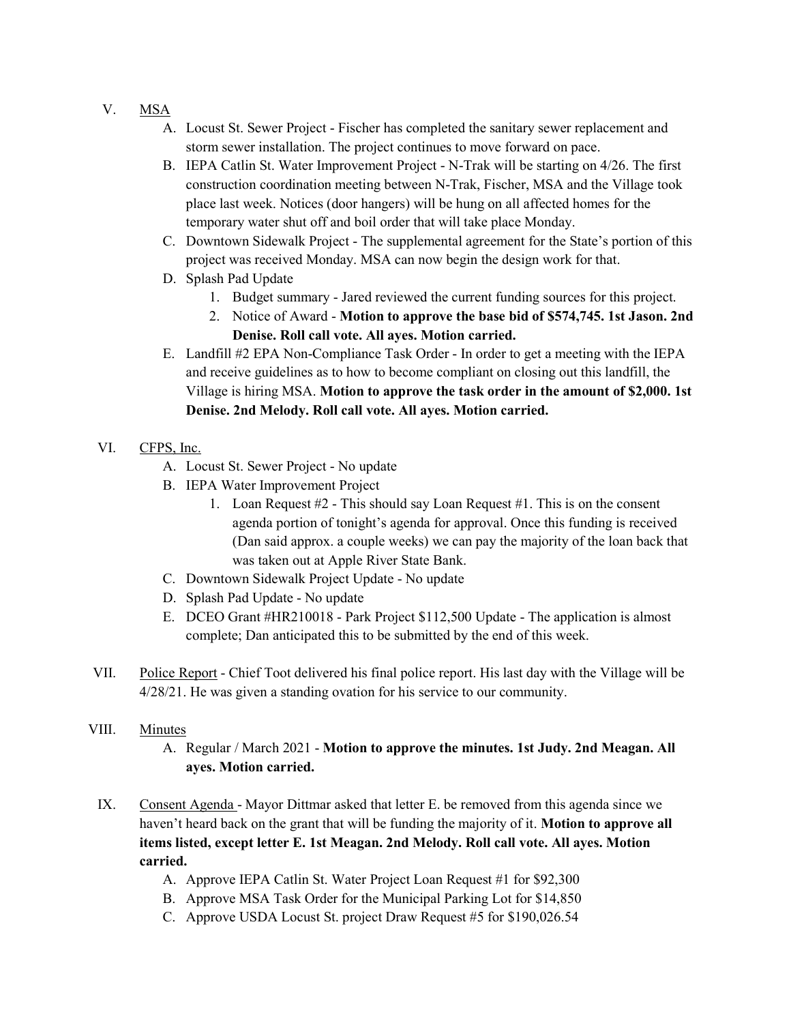## V. MSA

- A. Locust St. Sewer Project Fischer has completed the sanitary sewer replacement and storm sewer installation. The project continues to move forward on pace.
- B. IEPA Catlin St. Water Improvement Project N-Trak will be starting on 4/26. The first construction coordination meeting between N-Trak, Fischer, MSA and the Village took place last week. Notices (door hangers) will be hung on all affected homes for the temporary water shut off and boil order that will take place Monday.
- C. Downtown Sidewalk Project The supplemental agreement for the State's portion of this project was received Monday. MSA can now begin the design work for that.
- D. Splash Pad Update
	- 1. Budget summary Jared reviewed the current funding sources for this project.
	- 2. Notice of Award Motion to approve the base bid of \$574,745. 1st Jason. 2nd Denise. Roll call vote. All ayes. Motion carried.
- E. Landfill #2 EPA Non-Compliance Task Order In order to get a meeting with the IEPA and receive guidelines as to how to become compliant on closing out this landfill, the Village is hiring MSA. Motion to approve the task order in the amount of \$2,000. 1st Denise. 2nd Melody. Roll call vote. All ayes. Motion carried.
- VI. CFPS, Inc.
	- A. Locust St. Sewer Project No update
	- B. IEPA Water Improvement Project
		- 1. Loan Request #2 This should say Loan Request #1. This is on the consent agenda portion of tonight's agenda for approval. Once this funding is received (Dan said approx. a couple weeks) we can pay the majority of the loan back that was taken out at Apple River State Bank.
	- C. Downtown Sidewalk Project Update No update
	- D. Splash Pad Update No update
	- E. DCEO Grant #HR210018 Park Project \$112,500 Update The application is almost complete; Dan anticipated this to be submitted by the end of this week.
- VII. Police Report Chief Toot delivered his final police report. His last day with the Village will be 4/28/21. He was given a standing ovation for his service to our community.

#### VIII. Minutes

- A. Regular / March 2021 Motion to approve the minutes. 1st Judy. 2nd Meagan. All ayes. Motion carried.
- IX. Consent Agenda Mayor Dittmar asked that letter E. be removed from this agenda since we haven't heard back on the grant that will be funding the majority of it. Motion to approve all items listed, except letter E. 1st Meagan. 2nd Melody. Roll call vote. All ayes. Motion carried.
	- A. Approve IEPA Catlin St. Water Project Loan Request #1 for \$92,300
	- B. Approve MSA Task Order for the Municipal Parking Lot for \$14,850
	- C. Approve USDA Locust St. project Draw Request #5 for \$190,026.54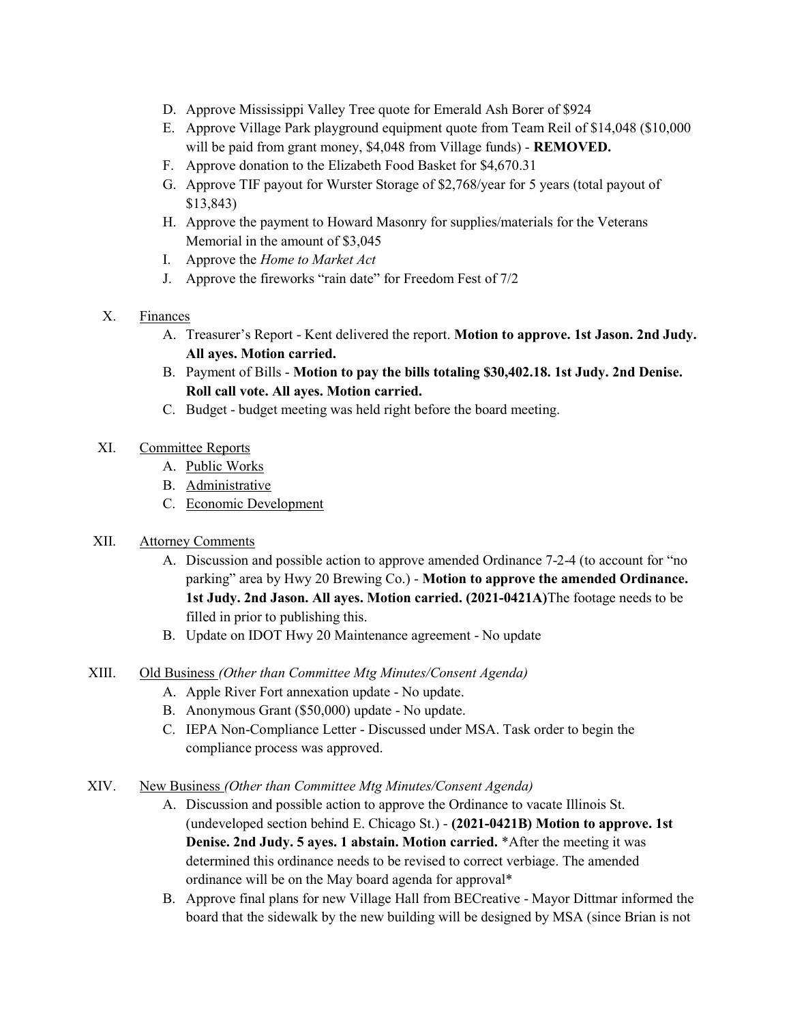- D. Approve Mississippi Valley Tree quote for Emerald Ash Borer of \$924
- E. Approve Village Park playground equipment quote from Team Reil of \$14,048 (\$10,000 will be paid from grant money, \$4,048 from Village funds) - **REMOVED.**
- F. Approve donation to the Elizabeth Food Basket for \$4,670.31
- G. Approve TIF payout for Wurster Storage of \$2,768/year for 5 years (total payout of \$13,843)
- H. Approve the payment to Howard Masonry for supplies/materials for the Veterans Memorial in the amount of \$3,045
- I. Approve the Home to Market Act
- J. Approve the fireworks "rain date" for Freedom Fest of 7/2
- X. Finances
	- A. Treasurer's Report Kent delivered the report. Motion to approve. 1st Jason. 2nd Judy. All ayes. Motion carried.
	- B. Payment of Bills Motion to pay the bills totaling \$30,402.18. 1st Judy. 2nd Denise. Roll call vote. All ayes. Motion carried.
	- C. Budget budget meeting was held right before the board meeting.
- XI. Committee Reports
	- A. Public Works
	- B. Administrative
	- C. Economic Development
- XII. Attorney Comments
	- A. Discussion and possible action to approve amended Ordinance 7-2-4 (to account for "no parking" area by Hwy 20 Brewing Co.) - Motion to approve the amended Ordinance. 1st Judy. 2nd Jason. All ayes. Motion carried. (2021-0421A)The footage needs to be filled in prior to publishing this.
	- B. Update on IDOT Hwy 20 Maintenance agreement No update
- XIII. Old Business (Other than Committee Mtg Minutes/Consent Agenda)
	- A. Apple River Fort annexation update No update.
	- B. Anonymous Grant (\$50,000) update No update.
	- C. IEPA Non-Compliance Letter Discussed under MSA. Task order to begin the compliance process was approved.
- XIV. New Business (Other than Committee Mtg Minutes/Consent Agenda)
	- A. Discussion and possible action to approve the Ordinance to vacate Illinois St. (undeveloped section behind E. Chicago St.) - (2021-0421B) Motion to approve. 1st Denise. 2nd Judy. 5 ayes. 1 abstain. Motion carried. \*After the meeting it was determined this ordinance needs to be revised to correct verbiage. The amended ordinance will be on the May board agenda for approval\*
	- B. Approve final plans for new Village Hall from BECreative Mayor Dittmar informed the board that the sidewalk by the new building will be designed by MSA (since Brian is not